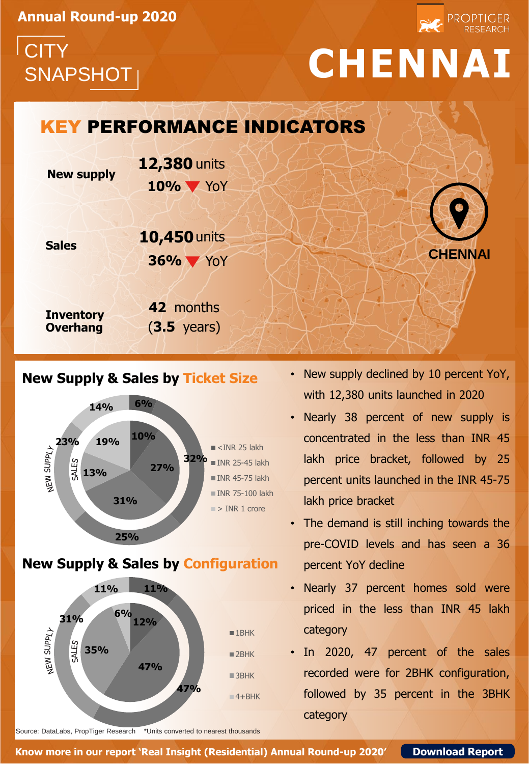**Annual Round-up 2020**

# **CITY**

## SNAPSHOT **CHENNAI**

## **New supply 10%** YoY KEY PERFORMANCE INDICATORS **12,380** units

**36%** YoY

**10,450** units



**PROPTIGER** 

### **Sales**

**Inventory Overhang 42** months (**3.5** years)

### **New Supply & Sales by Ticket Size**



#### **New Supply & Sales by Configuration**



Source: DataLabs, PropTiger Research \*Units converted to nearest thousands

- New supply declined by 10 percent YoY, with 12,380 units launched in 2020
- Nearly 38 percent of new supply is concentrated in the less than INR 45 lakh price bracket, followed by 25 percent units launched in the INR 45-75 lakh price bracket
- The demand is still inching towards the pre-COVID levels and has seen a 36 percent YoY decline
- Nearly 37 percent homes sold were priced in the less than INR 45 lakh category
- In 2020, 47 percent of the sales recorded were for 2BHK configuration, followed by 35 percent in the 3BHK category

**Know more in our report 'Real Insight (Residential) Annual Round-up 2020' [Download Report](http://bit.ly/39jbBE1)**